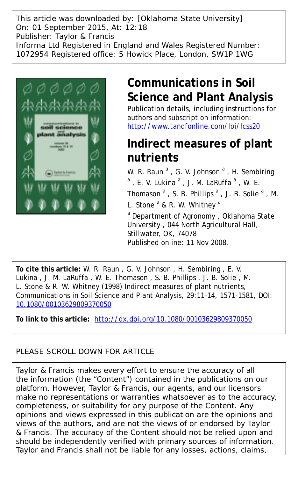This article was downloaded by: [Oklahoma State University] On: 01 September 2015, At: 12:18 Publisher: Taylor & Francis Informa Ltd Registered in England and Wales Registered Number: 1072954 Registered office: 5 Howick Place, London, SW1P 1WG



# **Communications in Soil Science and Plant Analysis**

Publication details, including instructions for authors and subscription information: <http://www.tandfonline.com/loi/lcss20>

## **Indirect measures of plant nutrients**

W. R. Raun <sup>a</sup> , G. V. Johnson <sup>a</sup> , H. Sembiring  $^a$  , E. V. Lukina  $^a$  , J. M. LaRuffa  $^a$  , W. E. Thomason  $^a$ , S. B. Phillips  $^a$ , J. B. Solie  $^a$ , M. L. Stone <sup>a</sup> & R. W. Whitney <sup>a</sup>

<sup>a</sup> Department of Agronomy, Oklahoma State University , 044 North Agricultural Hall, Stillwater, OK, 74078 Published online: 11 Nov 2008.

**To cite this article:** W. R. Raun , G. V. Johnson , H. Sembiring , E. V. Lukina , J. M. LaRuffa , W. E. Thomason , S. B. Phillips , J. B. Solie , M. L. Stone & R. W. Whitney (1998) Indirect measures of plant nutrients, Communications in Soil Science and Plant Analysis, 29:11-14, 1571-1581, DOI: [10.1080/00103629809370050](http://www.tandfonline.com/action/showCitFormats?doi=10.1080/00103629809370050)

**To link to this article:** <http://dx.doi.org/10.1080/00103629809370050>

## PLEASE SCROLL DOWN FOR ARTICLE

Taylor & Francis makes every effort to ensure the accuracy of all the information (the "Content") contained in the publications on our platform. However, Taylor & Francis, our agents, and our licensors make no representations or warranties whatsoever as to the accuracy, completeness, or suitability for any purpose of the Content. Any opinions and views expressed in this publication are the opinions and views of the authors, and are not the views of or endorsed by Taylor & Francis. The accuracy of the Content should not be relied upon and should be independently verified with primary sources of information. Taylor and Francis shall not be liable for any losses, actions, claims,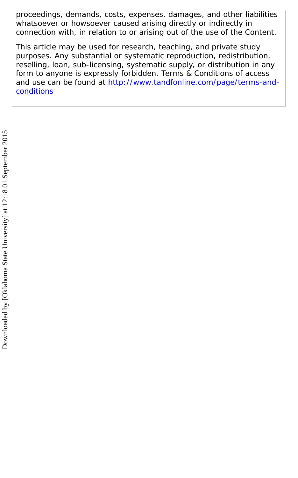proceedings, demands, costs, expenses, damages, and other liabilities whatsoever or howsoever caused arising directly or indirectly in connection with, in relation to or arising out of the use of the Content.

This article may be used for research, teaching, and private study purposes. Any substantial or systematic reproduction, redistribution, reselling, loan, sub-licensing, systematic supply, or distribution in any form to anyone is expressly forbidden. Terms & Conditions of access and use can be found at [http://www.tandfonline.com/page/terms-and](http://www.tandfonline.com/page/terms-and-conditions)**[conditions](http://www.tandfonline.com/page/terms-and-conditions)**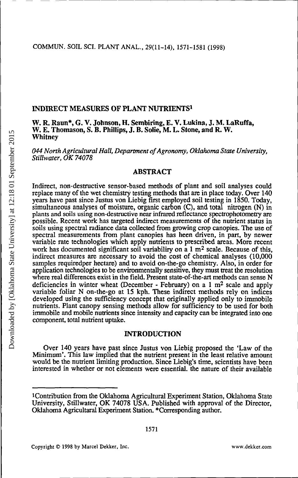## **INDIRECT MEASURES OF PLANT NUTRIENTS<sup>1</sup>**

## **W. R. Raun\*, G. V. Johnson, H. Sembiring, E. V. Lukina, J. M. LaRuffa, W. E. Thomason, S. B. Phillips, J. B. Solie, M. L. Stone, and R. W. Whitney**

*044 North Agricultural Hall, Department of Agronomy, Oklahoma State University, Stillwater, OK 74078*

## **ABSTRACT**

Indirect, non-destructive sensor-based methods of plant and soil analyses could replace many of the wet chemistry testing methods that are in place today. Over 140 years have past since Justus von Liebig first employed soil testing in 1850. Today, simultaneous analyses of moisture, organic carbon (C), and total nitrogen (N) in plants and soils using non-destructive near infrared reflectance spectrophotometry are possible. Recent work has targeted indirect measurements of the nutrient status in soils using spectral radiance data collected from growing crop canopies. The use of spectral measurements from plant canopies has heen driven, in part, by newer variable rate technologies which apply nutrients to prescribed areas. More recent work has documented significant soil variabiliry on a  $1 \text{ m}^2$  scale. Because of this, indirect measures are necessary to avoid the cost of chemical analyses (10,000 samples requiredper hectare) and to avoid on-the-go chemistry. Also, in order for application technologies to be environmentally sensitive, they must treat the resolution where real differences exist in the field. Present state-of-the-art methods can sense N deficiencies in winter wheat (December - February) on a  $1 \text{ m}^2$  scale and apply deficiencies in winter wheat (December - February) on a  $1 \text{ m}^2$  scale and apply variable foliar N on-the-go at 15 kph. These indirect methods rely on indices developed using the sufficiency concept that originally applied only to immobile nutrients. Plant canopy sensing methods allow for sufficiency to be used for both immobile and mobile nutrients since intensity and capacity can be integrated into one component, total nutrient uptake.

## **INTRODUCTION**

Over 140 years have past since Justus von Liebig proposed the 'Law of the Minimum'. This law implied that the nutrient present in the least relative amount would be the nutrient limiting production. Since Liebig's time, scientists have been interested in whether or not elements were essential, the nature of their available

<sup>1</sup>Contribution from the Oklahoma Agricultural Experiment Station, Oklahoma State University, Stillwater, OK 74078 USA. Published with approval of the Director, Oklahoma Agricultaral Experiment Station. \* Corresponding author.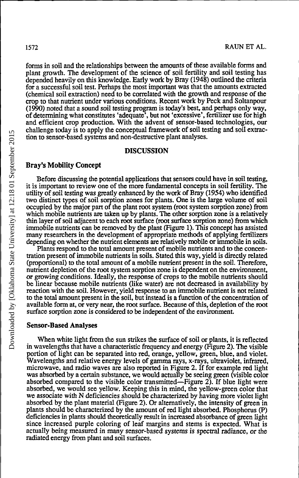forms in soil and the relationships between the amounts of these available forms and plant growth. The development of the science of soil fertility and soil testing has depended heavily on this knowledge. Early work by Bray (1948) outlined the criteria for a successful soil test. Perhaps the most important was that the amounts extracted (chemical soil extraction) need to be correlated with the growth and response of the crop to that nutrient under various conditions. Recent work by Peck and Soltanpour (1990) noted that a sound soil testing program is today's best, and perhaps only way, of determining what constitutes 'adequate', but not 'excessive', fertilizer use for high and efficient crop production. With the advent of sensor-based technologies, our challenge today is to apply the conceptual framework of soil testing and soil extraction to sensor-based systems and non-destructive plant analyses.

## **DISCUSSION**

## **Bray's Mobility Concept**

Before discussing the potential applications that sensors could have in soil testing, it is important to review one of the more fundamental concepts in soil fertility. The utility of soil testing was greatly enhanced by the work of Bray (1954) who identified two distinct types of soil sorption zones for plants. One is the large volume of soil occupied by the major part of the plant root system (root system sorption zone) from which mobile nutrients are taken up by plants. The other sorption zone is a relatively thin layer of soil adjacent to each root surface (root surface sorption zone) from which immobile nutrients can be removed by the plant (Figure 1). This concept has assisted many researchers in the development of appropriate methods of applying fertilizers depending on whether the nutrient elements are relatively mobile or immobile in soils.

Plants respond to the total amount present of mobile nutrients and to the concentration present of immobile nutrients in soils. Stated this way, yield is directly related (proportional) to the total amount of a mobile nutrient present in the soil. Therefore, nutrient depletion of the root system sorption zone is dependent on the environment, or growing conditions. Ideally, the response of crops to the mobile nutrients should be linear because mobile nutrients (like water) are not decreased in availability by reaction with the soil. However, yield response to an immobile nutrient is not related to the total amount present in the soil, but instead is a function of the concentration of available form at, or very near, the root surface. Because of this, depletion of the root surface sorption zone is considered to be independent of the environment.

### **Sensor-Based Analyses**

When white light from the sun strikes the surface of soil or plants, it is reflected in wavelengths that have a characteristic frequency and energy (Figure 2). The visible portion of light can be separated into red, orange, yellow, green, blue, and violet. Wavelengths and relative energy levels of gamma rays, x-rays, ultraviolet, infrared, microwave, and radio waves are also reported in Figure 2. If for example red light was absorbed by a certain substance, we would actually be seeing green (visible color absorbed compared to the visible color transmitted—Figure 2). If blue light were absorbed, we would see yellow. Keeping this in mind, the yellow-green color that we associate with N deficiencies should be characterized by having more violet light absorbed by the plant material (Figure 2). Or alternatively, the intensity of green in plants should be characterized by the amount of red light absorbed. Phosphorus (P) deficiencies in plants should theoretically result in increased absorbance of green light since increased purple coloring of leaf margins and stems is expected. What is actually being measured in many sensor-based systems is spectral radiance, or the radiated energy from plant and soil surfaces.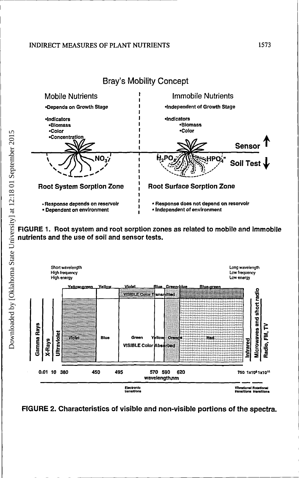## INDIRECT MEASURES OF PLANT NUTRIENTS 1573



**FIGURE 1. Root system and root sorption zones as related to mobile and immobile nutrients and the use of soil and sensor tests.**



**FIGURE 2. Characteristics of visible and non-visible portions of the spectra.**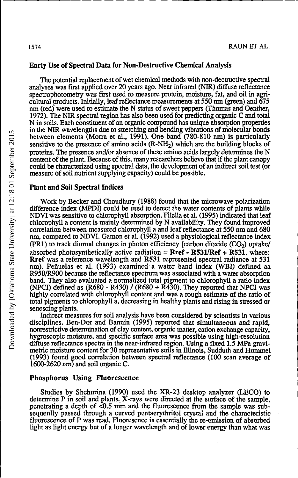## **Early Use of Spectral Data for Non-Destructive Chemical Analysis**

The potential replacement of wet chemical methods with non-dectructive spectral analyses was first applied over 20 years ago. Near infrared (NIR) diffuse reflectance spectrophotometry was first used to measure protein, moisture, fat, and oil in agricultural products. Initially, leaf reflectance measurements at 550 nm (green) and 675 nm (red) were used to estimate the N status of sweet peppers (Thomas and Oenther, 1972). The NIR spectral region has also been used for predicting organic C and total N in soils. Each constituent of an organic compound has unique absorption properties in the NIR wavelengths due to stretching and bending vibrations of molecular bonds between elements (Morra et al., 1991). One band (780-810 nm) is particularly sensitive to the presence of amino acids  $(R-NH<sub>2</sub>)$  which are the building blocks of proteins. The presence and/or absence of these amino acids largely determines the N content of the plant. Because of this, many researchers believe that if the plant canopy could be characterized using spectral data, the development of an indirect soil test (or measure of soil nutrient supplying capacity) could be possible.

### **Plant and Soil Spectral Indices**

Work by Becker and Choudhury (1988) found that the microwave polarization difference index (MPDI) could be used to detect the water contents of plants while NDVI was sensitive to chlorophyll absorption. Filella et al. (1995) indicated that leaf chlorophyll a content is mainly determined by N availability. They found improved correlation between measured chlorophyll a and leaf reflectance at 550 nm and 680 nm, compared to NDVI. Gamon et al. (1992) used a physiological reflectance index (PR1) to track diurnal changes in photon efficiency [carbon dioxide  $(CO<sub>2</sub>)$  uptake/ absorbed photosynthetically active radiation  $=$  **Rref**  $\cdot$  **R531/Ref**  $\cdot$  **R531**, where: **Rref** was a reference wavelength and **R531** represented spectral radiance at 531 nm). Pefiuelas et al. (1993) examined a water band index (WBI) defined aa R950/R900 because the reflectance spectrum was associated with a water absorption band. They also evaluated a normalized total pigment to chlorophyll a ratio index (NPCI) defined as (R680 - R430) / (R680 + R430). They reported that NPCI was highly correlated with chlorophyll content and was a rough estimate of the ratio of total pigments to chlorophyll a, decreasing in healthy plants and rising in stressed or senescing plants.

Indirect measures for soil analysis have been considered by scientists in various disciplines. Ben-Dor and Bannin (1995) reported that simultaneous and rapid, nonrestrictive determination of clay content, organic matter, cation exchange capacity, hygroscopic moisture, and specific surface area was possible using high-resolution diffuse reflectance spectra in the near-infrared region. Using a fixed 1.5 MPa gravimetric moisture content for 30 representative soils in Illinois, Sudduth and Hummel (1993) found good correlation between spectral reflectance (100 scan average of 1600-2620 nm) and soil organic C.

### **Phosphorus Using Fluorescence**

Studies by Shchurina (1990) used the XR-23 desktop analyzer (LECO) to determine P in soil and plants. X-rays were directed at the surface of the sample, penetrating a depth of «d).5 mm and the fluorescence from the sample was subsequenlly passed through a curved pentaerythritol crystal and the characteristic fluorescence of P was read. Fluoresence is essentially the re-emission of absorbed light as light energy but of a longer wavelength and of lower energy than what was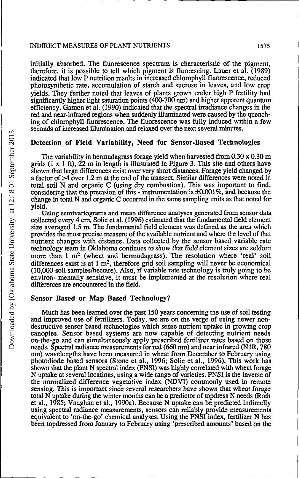initially absorbed. The fluorescence spectrum is characteristic of the pigment, therefore, it is possible to tell which pigment is fluorescing. Lauer et al. (1989) indicated that low P nutrition results in increased chlorophyll fluorescence, reduced photosynthetic rate, accumulation of starch and sucrose in leaves, and low crop yields. They further noted that leaves of plants grown under high P fertility had significantly higher light saturation points (400-700 nm) and higher apparent quantum efficiency. Gamon et al. (1990) indicated that the spectral irradiance changes in the red and near-infrared regions when suddenly illuminated were caused by the quenching of chlorophyll fluorescence. The fluorescence was fully induced within a few seconds of increased illumination and relaxed over the next several minutes.

### **Detection of Field Variability, Need for Sensor-Based Technologies**

The variability in bermudagrass forage yield when harvested from 0.30 x 0.30 m grids  $(1 \times 1$  ft),  $\overline{22}$  m in length is illustrated in Figure 3. This site and others have shown that large differences exist over very short distances. Forage yield changed by a factor of >4 over 1.2 m at the end of the transect. Similar differences were noted in total soil N and organic C (using dry combustion). This was important to find, considering that the precision of this - instrumentation is  $\pm 0.001\%$ , and because the change in total N and organic C occurred in the same sampling units as that noted for yield.

Using semivariograms and mean difference analyses generated from sensor data collected every 4 cm, Solie et al. (1996) estimated that the fundamental field element size averaged 1.5 m. The fundamental field element was defined as the area which provides the most precise measure of the available nutrient and where the level of that nutrient changes with distance. Data collected by the sensor based variable rate technology team in Oklahoma continues to show that field element sizes are seldom more than 1 m<sup>2</sup> (wheat and bermudagrass). The resolution where 'real' soil differences exist is at 1 m<sup>2</sup> , therefore grid soil sampling will never be economical (10,000 soil samples/hectare). Also, if variable rate technology is truly going to be environ- mentally sensitive, it must be implemented at the resolution where real differerces are encountered in the field.

### **Sensor Based or Map Based Technology?**

Much has been learned over the past 150 years concerning the use of soil testing and improved use of fertilizers. Today, we are on the verge of using newer nondestructive sensor based technologies which sense nutrient uptake in growing crop canopies. Sensor based systems are now capable of detecting nutrient needs on-the-go and can simultaneously apply prescribed fertilizer rates based on those needs. Spectral radiance measurements for red (660 nm) and near infrared (N1R, 780 nm) wavelengths have been measured in wheat from December to February using photodiode based sensors (Stone et al., 1996; Solie et al., 1996). This work has shown that the plant N spectral index (PNSI) was highly correlated with wheat forage N uptake at several locations, using a wide range of varieties. PNSI is the inverse of the normalized difference vegetative index (NDVI) commonly used in remote sensing. This is important since several researchers have shown that wheat forage total N uptake during the winter months can be a predictor of topdress N needs (Roth et al., 1985; Vaughan et al., 1990a). Because N uptake can be predicted indireclly using spectral radiance measurements, sensors can reliably provide measurements equivalent to 'on-the-go' chemical analyses. Using the PNSI index, fertilizer N has been topdressed from January to February using 'prescribed amounts' based on the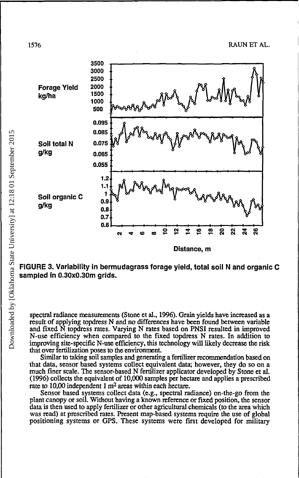

**FIGURE 3. Variability in bermudagrass forage yield, total soil N and organic C sampled in 0.30x0.30m grids.**

spectral radiance measurements (Stone et al., 1996). Grain yields have increased as a result of applying topdress N and no differences have been found between variable and fixed N topdress rates. Varying N rates based on PNSI resulted in improved N-use efficiency when compared to the fixed topdress N rates. In addition to improving site-specific N-use efficiency, this technology will likely decrease the risk that over fertilization poses to the environment.

Similar to taking soil samples and generating a fertilizer recommendation based on that data, sensor based systems collect equivalent data; however, they do so on a much finer scale. The sensor-based N fertilizer applicator developed by Stone et al. (1996) collects the equivalent of 10,000 samples per hectare and applies a prescribed rate to  $10,00$  independent  $1 \text{ m}^2$  areas within each hectare.

Sensor based systems collect data (e.g., spectral radiance) on-the-go from the plant canopy or soil. Without having a known reference or fixed position, the sensor data is then used to apply fertilizer or other agricultural chemicals (to the area which was read) at prescribed rates. Present map-based systems require the use of global positioning systems or GPS. These systems were first developed for military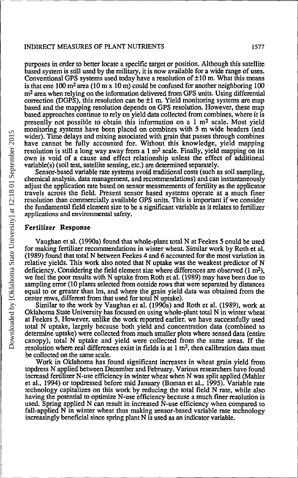purposes in order to better locate a specific target or position. Although this satellite based system is still used by the military, it is now available for a wide range of uses. Conventional GPS systems used today have a resolution of  $\pm 10$  m. What this means is that one  $100 \text{ m}^2$  area  $(10 \text{ m} \times 10 \text{ m})$  could be confused for another neighboring  $100$ mate the red in the intervals and so consider the intervals in general of the material condition of the information delivered from GPS units. Using differential correction (DGPS), this resolution can be  $\pm 1$  m. Yield monitoring systems are map based and die mapping resolution depends on GPS resolution. However, these map based approaches continue to rely on yield data collected from combines, where it is presently not possible to obtain this information on a  $1 \text{ m}^2$  scale. Most yield monitoring systems have been placed on combines with 5 m wide headers (and wider). Time delays and mixing associated with grain that passes through combines have cannot be fully accounted for. Without this knowledge, yield mapping resolution is still a long way away from a  $1 \text{ m}^2$  scale. Finally, yield mapping on its resolution is still a long way away from a  $1 \text{ m}^2$  scale. Finally, yield mapping on its own is void of a cause and effect relationship unless the effect of additional variable(s) (soil test, satellite sensing, etc.) are determined separately.

Sensor-based variable rate systems avoid traditional costs (such as soil sampling, chemical analysis, data management, and recommendations) and can instantaneously adjust the application rate based on sensor measmements of fertility as the applicator travels across the field. Present sensor based systems operate at a much finer resolution than commercially available GPS units. This is important if we consider the fundamental field element size to be a significant variable as it relates to fertilizer applications and environmental safety.

### Fertilizer Response

Vaughan et al. (1990a) found that whole-plant total N at Feekes 5 could be used for making fertilizer recommendations in winter wheat. Similar work by Roth et al. (1989) found that total N between Feekes 4 and 6 accounted for the most variation in relative yields. This work also noted that N uptake was the weakest predictor of N deficiency. Considering the field element size where differences are observed (1 m<sup>2</sup>), we feel the poor results with N uptake from Roth et al. (1989) may have been due to sampling error (10 plants selected from outside rows that were separated by distances equal to or greater than lm, and where the grain yield data was obtained from the center rows, different from that used for total N uptake).

Similar to the work by Vaughan et al. (1990a) and Roth et al. (1989), work at Oklahoma State University has focused on using whole-plant total N in winter wheat at Feekes 5. However, unlike the work reported earlier, we have successfully used total N uptake, largely because both yield and concentration data (combined to determine uptake) were collected from much smaller plots where sensed data (entire canopy), total N uptake and yield were collected from the same areas. If the resolution where real differences exist in fields is at  $1 \text{ m}^2$ , then calibration data must be collected on the same scale.

Work in Oklahoma has found significant increases in wheat grain yield from topdress N applied between December and February. Various researchers have found increasd fertilizer N-use efficiency in winter wheat when N was split applied (Mahler et al., 1994) or topdressed before mid January (Boman et al., 1995). Variable rate technology capitalizes on this work by reducing the total field N rate, while also having the potential to optimize N-use efficiency because a much finer resolution is used. Spring applied N can result in increased N-use efficiency when compared to fall-applied N in winter wheat thus making sensor-based variable rate technology increasingly beneficial since spring plant N is used as an indicator variable.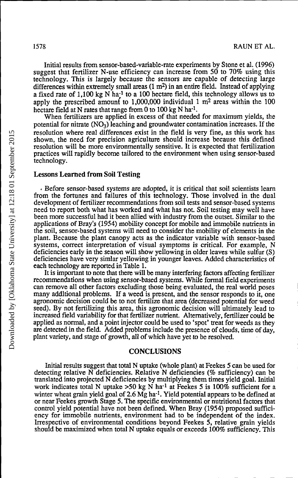Initial results from sensor-based-variable-rate experiments by Stone et al. (1996) suggest that fertilizer N-use efficiency can increase from 50 to 70% using this technology. This is largely because the sensors are capable of detecting large differences within extremely small areas (1 m<sup>2</sup> ) in an entire field. Instead of applying a fixed rate of  $1,100$  kg N ha<sup>-1</sup> to a 100 hectare field, this technology allows us to apply the prescribed amount to 1,000,000 individual 1 m<sup>2</sup> areas within the 100 hectare field at N rates that range from 0 to  $100 \text{ kg N}$  ha<sup>-1</sup>.

When fertilizers are applied in excess of that needed for maximum yields, the potential for nitrate  $(NO<sub>3</sub>)$  leaching and groundwater contamination increases. If the resolution where real differences exist in the field is very fine, as this work has shown, the need for precision agriculture should increase because this defined resolution will be more environmentally sensitive. It is expected that fertilization practices will rapidly become tailored to the environment when using sensor-based technology.

## **Lessons Learned from Soil Testing**

< Before sensor-based systems are adopted, it is critical that soil scientists learn from the fortunes and failures of this technology. Those involved in the dual development of fertilizer recommendations from soil tests and sensor-based systems need to report both what has worked and what has not. Soil testing may well have been more successful had it been allied with industry from the outset. Similar to the applications of Bray's (1954) mobility concept for mobile and immobile nutrients in the soil, sensor-based systems will need to consider the mobility of elements in the plant. Because the plant canopy acts as the indicator variable with sensor-based systems, correct interpretation of visual symptoms is critical. For example, N deficiencies early in the season will show yellowing in older leaves while sulfur (S) deficiencies have very simlar yellowing in younger leaves. Added characteristics of each technology are reported in Table 1.

It is important to note that there will be many interfering factors affecting fertilizer recommendations when using sensor-based systems. While formal field experiments can remove all other factors excluding those being evaluated, the real world poses many additional problems. If a weed is present, and the sensor responds to it, one agronomic decision could be to not fertilize that area (decreased potential for weed seed). By not fertilizing this area, this agronomic decision will ultimately lead to increased field variability for that fertilizer nutrient. Alternatively, fertilizer could be applied as normal, and a point injector could be used to 'spot' treat for weeds as they are detected in the field. Added problems include the presence of clouds, time of day, plant variety, and stage of growth, all of which have yet to be resolved.

## **CONCLUSIONS**

Initial results suggest that total N uptake (whole plant) at Feekes 5 can be used for detecting relative N deficiencies. Relative N deficiencies (% sufficiency) can be translated into projected N deficiencies by multiplying them times yield goal. Initial work indicates total N uptake >50 kg N ha<sup>-1</sup> at Feekes 5 is 100% sufficient for a winter wheat grain yield goal of 2.6 Mg ha<sup>-1</sup>. Yield potential appears to be defined at or near Feekes growth Stage 5. The specific environmental or nutritional factors that control yield potential have not been defined. When Bray (1954) proposed sufficiency for immobile nutrients, environment had to be independent of the index. Irrespective of environmental conditions beyond Feekes 5, relative grain yields should be maximized when total N uptake equals or exceeds 100% sufficiency. This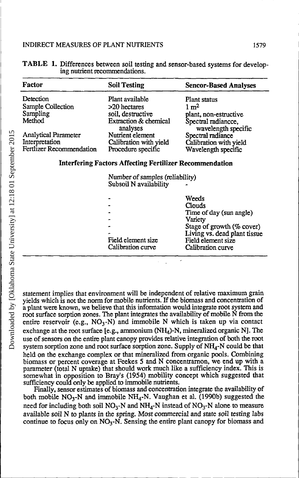| Factor                                                  | <b>Soil Testing</b>               | <b>Sencor-Based Analyses</b>               |  |  |
|---------------------------------------------------------|-----------------------------------|--------------------------------------------|--|--|
| Detection                                               | Plant available                   | <b>Plant status</b>                        |  |  |
| Sample Collection                                       | >20 hectares                      | $1 \text{ m}^2$                            |  |  |
| Sampling                                                | soil, destructive                 | plant, non-estructive                      |  |  |
| Method                                                  | Extraction & chemical<br>analyses | Spectral radiancce,<br>wavelength specific |  |  |
| <b>Analytical Parameter</b>                             | Nutrient element                  | Spectral radiance                          |  |  |
| Interpretation                                          | Calibration with yield            | Calibration with yield                     |  |  |
| Fertlizer Recommendation                                | Procedure specific                | Wavelength specific                        |  |  |
| Interfering Factors Affecting Fertilizer Recommendation |                                   |                                            |  |  |
|                                                         | Number of samples (reliability)   |                                            |  |  |
|                                                         | Subsoil N availability            |                                            |  |  |
|                                                         |                                   | Weeds                                      |  |  |
|                                                         |                                   | Clouds                                     |  |  |
|                                                         |                                   | Time of day (sun angle)                    |  |  |
|                                                         |                                   | Variety                                    |  |  |
|                                                         |                                   | Stage of growth (% cover)                  |  |  |
|                                                         |                                   | Living vs. dead plant tissue               |  |  |
|                                                         | Field element size                | Field element size                         |  |  |
|                                                         | Calibration curve                 | Calibration curve                          |  |  |

|  | TABLE 1. Differences between soil testing and sensor-based systems for develop- |  |
|--|---------------------------------------------------------------------------------|--|
|  | ing nutrient recommendations.                                                   |  |

statement implies that environment will be independent of relative maximum grain yields which is not the norm for mobile nutrients. If the biomass and concentration of a plant were known, we believe that this information would integrate root system and root surface sorption zones. The plant integrates the availability of mobile N from the entire reservoir (e.g.,  $NO_3-N$ ) and immobile N which is taken up via contact exchange at the root surface [e.g., ammonium (NH4)-N, mineralized organic N]. The use of sensors on the entire plant canopy provides relative integration of both the root system sorption zone and root surface sorption zone. Supply of  $NH<sub>4</sub>-N$  could be that held on the exchange complex or that mineralized from organic pools. Combining biomass or percent coverage at Feekes 5 and N concentramon, we end up with a parameter (total N uptake) that should work much like a sufficiency index. This is somewhat in opposition to Bray's (1954) mobility concept which suggested that sufficiency could only be applied to immobile nutrients.

Finally, sensor estimates of biomass and concentration integrate the availability of both mobile  $NO_3-N$  and immobile  $NH_4-N$ . Vaughan et al. (1990b) suggested the need for including both soil  $NO_3-N$  and  $NH_4-N$  instead of  $NO_3-N$  alone to measure available soil N to plants in the spring. Most commercial and state soil testing labs continue to focus only on  $NO<sub>3</sub>$ -N. Sensing the entire plant canopy for biomass and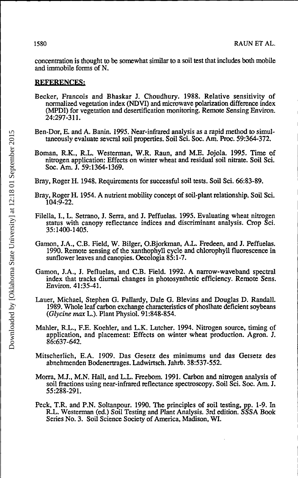concentration is thought to be somewhat similar to a soil test that includes both mobile and immobile forms of N.

## REFERENCES:

- Becker, Francois and Bhaskar J. Choudhury. 1988. Relative sensitivity of normalized vegetation index (NDVI) and microwave polarization difference index (MPDI) for vegetation and desertification monitoring. Remote Sensing Environ. 24:297-311.
- Ben-Dor, E. and A. Banin. 1995. Near-infrared analysis as a rapid method to simultaneously evaluate several soil properties. Soil Sci. Soc. Am. Proc. 59:364-372.
- Boman, R.K., R.L. Westerman, W.R. Raun, and M.E. Jojola. 1995. Time of nitrogen application: Effects on winter wheat and residual soil nitrate. Soil Sci. Soc. Am. J. 59:1364-1369.
- Bray, Roger H. 1948. Requirements for successful soil tests. Soil Sci. 66:83-89.
- Bray, Roger H. 1954. A nutrient mobility concept of soil-plant relationship. Soil Sci. 104:9-22.
- Filella, I., L. Serrano, J. Serra, and J. Peffuelas. 1995. Evaluating wheat nitrogen status with canopy reflectance indices and discriminant analysis. Crop Sci. 35:1400-1405.
- Gamon, J.A., C.B. Field, W. Bilger, O.Bjorkman, A.L. Fredeen, and J. Peffuelas. 1990. Remote sensing of the xanthophyll cycle and chlorophyll fluorescence in sunflower leaves and canopies. Oecologia 85:1-7.
- Gamon, J.A., J. Pefluelas, and C.B. Field. 1992. A narrow-waveband spectral index that tracks diurnal changes in photosynthetic efficiency. Remote Sens. Environ. 41:35-41.
- Lauer, Michael, Stephen G. Pallardy, Dale G. Blevins and Douglas D. Randall. 1989. Whole leaf carbon exchange characteristics of phoslhate deficient soybeans *(Glycine max* L.). Plant Physiol. 91:848-854.
- Mahler, R.L., F.E. Koehler, and L.K. Lutcher. 1994. Nitrogen source, timing of application, and placement: Effects on winter wheat production. Agron. J. 86:637-642.
- Mitscherlich, E.A. 1909. Das Gesetz des minimums und das Getsetz des abnehmenden Bodenertrages. Ladwirtsch. Jahrb. 38:537-552.
- Morra, M.J., M.N. Hall, and L.L. Freebom. 1991. Carbon and nitrogen analysis of soil fractions using near-infrared reflectance spectroscopy. Soil Sci. Soc. Am. J. 55:288-291.
- Peck, T.R. and P.N. Soltanpour. 1990. The principles of soil testing, pp. 1-9. In R.L. Westerman (ed.) Soil Testing and Plant Analysis. 3rd edition. SSSA Book Series No. 3. Soil Science Society of America, Madison, WI.